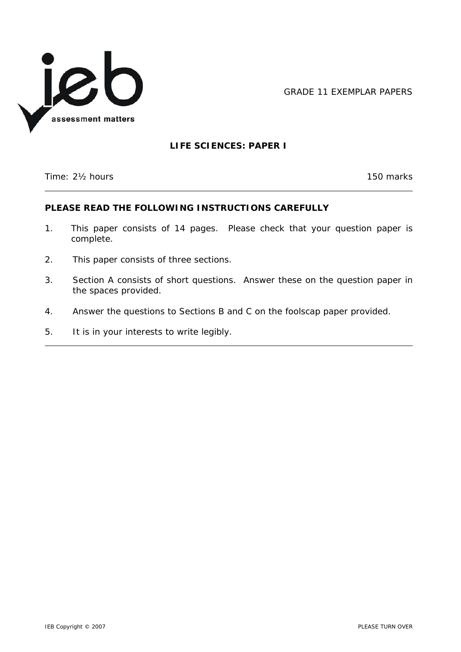

GRADE 11 EXEMPLAR PAPERS

# **LIFE SCIENCES: PAPER I**

Time: 2<sup>1</sup>/<sub>2</sub> hours 150 marks

 $\overline{\phantom{a}}$ 

# **PLEASE READ THE FOLLOWING INSTRUCTIONS CAREFULLY**

- 1. This paper consists of 14 pages. Please check that your question paper is complete.
- 2. This paper consists of three sections.
- 3. Section A consists of short questions. Answer these on the question paper in the spaces provided.
- 4. Answer the questions to Sections B and C on the foolscap paper provided.
- 5. It is in your interests to write legibly.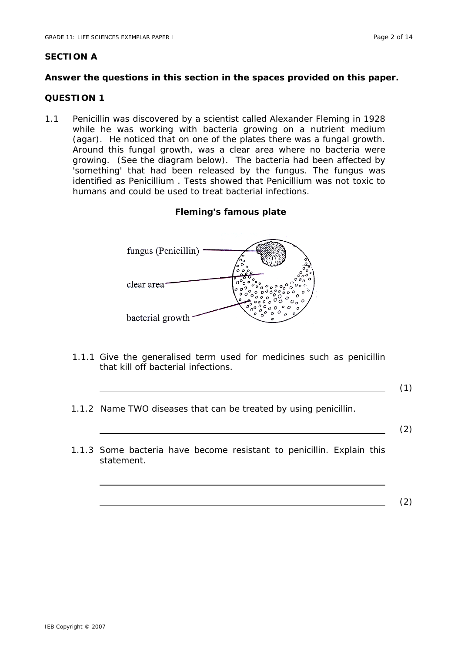# **SECTION A**

# **Answer the questions in this section in the spaces provided on this paper.**

# **QUESTION 1**

1.1 Penicillin was discovered by a scientist called Alexander Fleming in 1928 while he was working with bacteria growing on a nutrient medium (agar). He noticed that on one of the plates there was a fungal growth. Around this fungal growth, was a clear area where no bacteria were growing. (See the diagram below). The bacteria had been affected by 'something' that had been released by the fungus. The fungus was identified as *Penicillium* . Tests showed that *Penicillium* was not toxic to humans and could be used to treat bacterial infections.

# **Fleming's famous plate**



1.1.1 Give the generalised term used for medicines such as penicillin that kill off bacterial infections.

 $\hspace{1.5cm} (1)$ 

1.1.2 Name TWO diseases that can be treated by using penicillin.

(2)

1.1.3 Some bacteria have become resistant to penicillin. Explain this statement.

(2)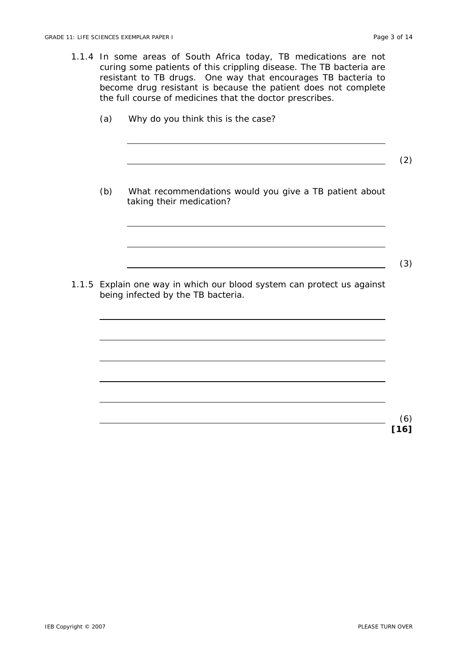- 1.1.4 In some areas of South Africa today, TB medications are not curing some patients of this crippling disease. The TB bacteria are resistant to TB drugs. One way that encourages TB bacteria to become drug resistant is because the patient does not complete the full course of medicines that the doctor prescribes.
	- (a) Why do you think this is the case?

(2)

 $\sim$  (3)

(b) What recommendations would you give a TB patient about taking their medication?

1.1.5 Explain one way in which our blood system can protect us against being infected by the TB bacteria.

> (6) **[16]**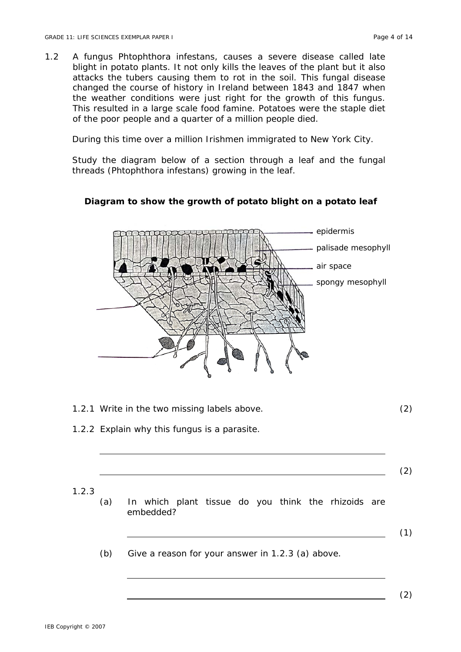1.2 A fungus *Phtophthora infestans,* causes a severe disease called late blight in potato plants. It not only kills the leaves of the plant but it also attacks the tubers causing them to rot in the soil. This fungal disease changed the course of history in Ireland between 1843 and 1847 when the weather conditions were just right for the growth of this fungus. This resulted in a large scale food famine. Potatoes were the staple diet of the poor people and a quarter of a million people died.

During this time over a million Irishmen immigrated to New York City.

Study the diagram below of a section through a leaf and the fungal threads (*Phtophthora infestans*) growing in the leaf.



# **Diagram to show the growth of potato blight on a potato leaf**

- 1.2.1 Write in the two missing labels above. (2)
- 1.2.2 Explain why this fungus is a parasite.

1.2.3

(a) In which plant tissue do you think the rhizoids are embedded?

(1)

(2)

(b) Give a reason for your answer in 1.2.3 (a) above.

(2)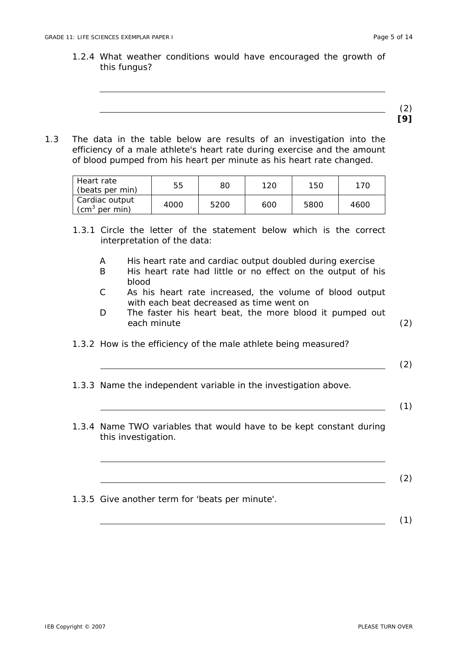1.2.4 What weather conditions would have encouraged the growth of this fungus?



1.3 The data in the table below are results of an investigation into the efficiency of a male athlete's heart rate during exercise and the amount of blood pumped from his heart per minute as his heart rate changed.

| Heart rate<br>(beats per min)                  | 55   | 80   | 120 | 150  | 170  |
|------------------------------------------------|------|------|-----|------|------|
| Cardiac output<br>ัcm <sup>3</sup><br>per min) | 4000 | 5200 | 600 | 5800 | 4600 |

- 1.3.1 Circle the letter of the statement below which is the correct interpretation of the data:
	- A His heart rate and cardiac output doubled during exercise
	- B His heart rate had little or no effect on the output of his blood
	- C As his heart rate increased, the volume of blood output with each beat decreased as time went on
	- D The faster his heart beat, the more blood it pumped out each minute (2)
- 1.3.2 How is the efficiency of the male athlete being measured?
- 1.3.3 Name the independent variable in the investigation above.
- 1.3.4 Name TWO variables that would have to be kept constant during this investigation.
- 1.3.5 Give another term for 'beats per minute'.

(1)

(2)

(1)

(2)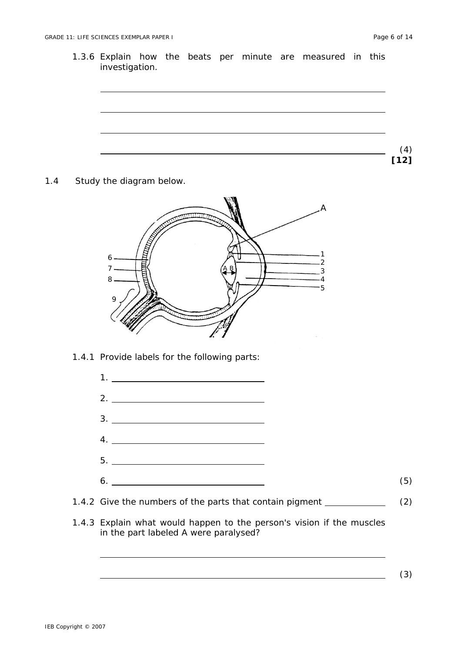(3)

- 1.3.6 Explain how the beats per minute are measured in this investigation. (4) **[12]**
- 1.4 Study the diagram below.



1.4.1 Provide labels for the following parts:



1.4.3 Explain what would happen to the person's vision if the muscles in the part labeled A were paralysed?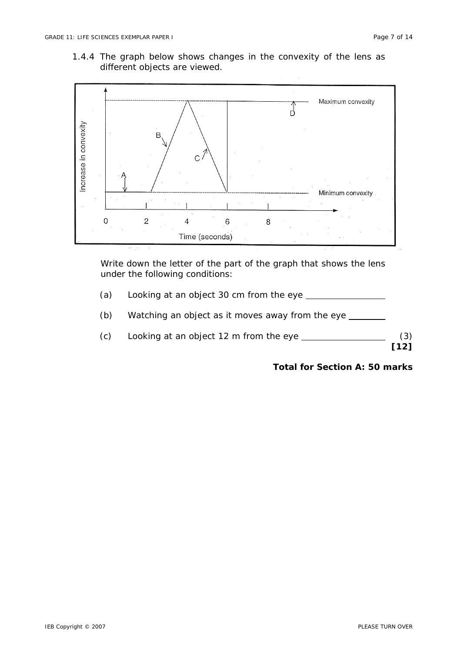1.4.4 The graph below shows changes in the convexity of the lens as different objects are viewed.



Write down the letter of the part of the graph that shows the lens under the following conditions:

- (a) Looking at an object 30 cm from the eye
- (b) Watching an object as it moves away from the eye
- (c) Looking at an object 12 m from the eye  $\qquad \qquad$  (3)

**[12]** 

# **Total for Section A: 50 marks**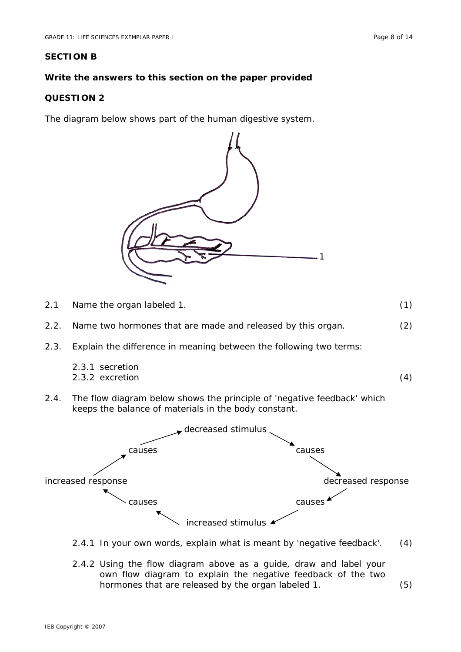# **Write the answers to this section on the paper provided**

# **QUESTION 2**

The diagram below shows part of the human digestive system.



| 2.1  | Name the organ labeled 1.                                                                                                       | (1) |
|------|---------------------------------------------------------------------------------------------------------------------------------|-----|
| 2.2. | Name two hormones that are made and released by this organ.                                                                     | (2) |
| 2.3. | Explain the difference in meaning between the following two terms:                                                              |     |
|      | 2.3.1 secretion<br>2.3.2 excretion                                                                                              | (4) |
| 2.4. | The flow diagram below shows the principle of 'negative feedback' which<br>keeps the balance of materials in the body constant. |     |
|      | decreased stimulus                                                                                                              |     |
|      | causes<br>causes                                                                                                                |     |
|      |                                                                                                                                 |     |
|      | decreased response<br>increased response                                                                                        |     |
|      | causes<br>cause                                                                                                                 |     |

increased stimulus

- 2.4.1 In your own words, explain what is meant by 'negative feedback'. (4)
- 2.4.2 Using the flow diagram above as a guide, draw and label your own flow diagram to explain the negative feedback of the two hormones that are released by the organ labeled 1. (5)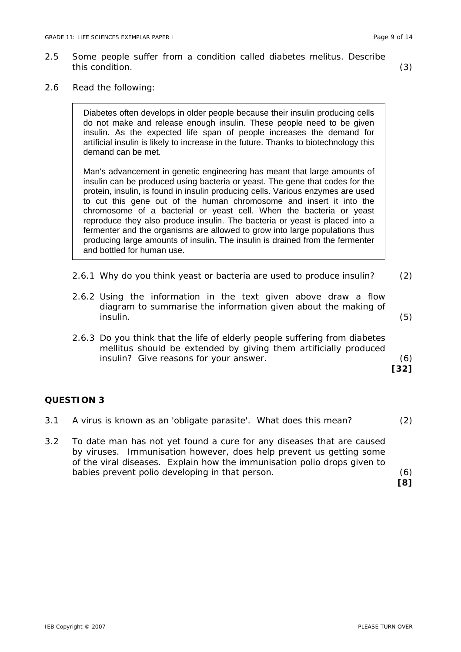- 2.5 Some people suffer from a condition called diabetes melitus. Describe this condition. (3)
	-

2.6 Read the following:

Diabetes often develops in older people because their insulin producing cells do not make and release enough insulin. These people need to be given insulin. As the expected life span of people increases the demand for artificial insulin is likely to increase in the future. Thanks to biotechnology this demand can be met.

Man's advancement in genetic engineering has meant that large amounts of insulin can be produced using bacteria or yeast. The gene that codes for the protein, insulin, is found in insulin producing cells. Various enzymes are used to cut this gene out of the human chromosome and insert it into the chromosome of a bacterial or yeast cell. When the bacteria or yeast reproduce they also produce insulin. The bacteria or yeast is placed into a fermenter and the organisms are allowed to grow into large populations thus producing large amounts of insulin. The insulin is drained from the fermenter and bottled for human use.

- 2.6.1 Why do you think yeast or bacteria are used to produce insulin? (2)
- 2.6.2 Using the information in the text given above draw a flow diagram to summarise the information given about the making of insulin. (5)
- 2.6.3 Do you think that the life of elderly people suffering from diabetes mellitus should be extended by giving them artificially produced insulin? Give reasons for your answer. (6)

**[32]** 

# **QUESTION 3**

3.1 A virus is known as an 'obligate parasite'. What does this mean? (2) 3.2 To date man has not yet found a cure for any diseases that are caused by viruses. Immunisation however, does help prevent us getting some of the viral diseases. Explain how the immunisation polio drops given to babies prevent polio developing in that person. (6)  **[8]**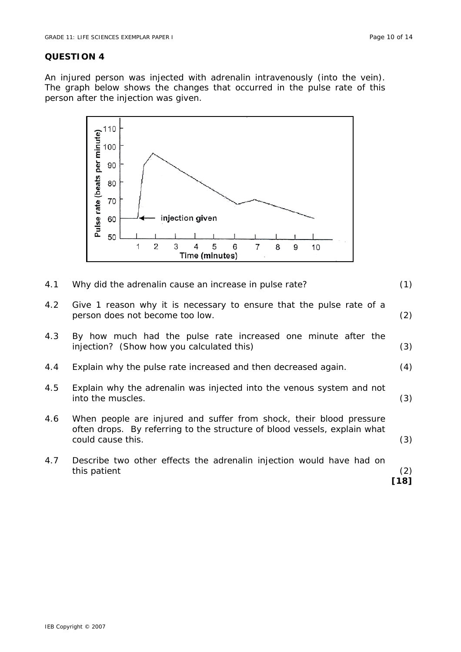#### **QUESTION 4**

An injured person was injected with adrenalin intravenously (into the vein). The graph below shows the changes that occurred in the pulse rate of this person after the injection was given.



- 4.1 Why did the adrenalin cause an increase in pulse rate? (1)
- 4.2 Give 1 reason why it is necessary to ensure that the pulse rate of a person does not become too low. (2)
- 4.3 By how much had the pulse rate increased one minute after the injection? (Show how you calculated this) (3)
- 4.4 Explain why the pulse rate increased and then decreased again. (4)
- 4.5 Explain why the adrenalin was injected into the venous system and not into the muscles. (3)
- 4.6 When people are injured and suffer from shock, their blood pressure often drops. By referring to the structure of blood vessels, explain what could cause this. (3)
- 4.7 Describe two other effects the adrenalin injection would have had on this patient (2)

**[18]**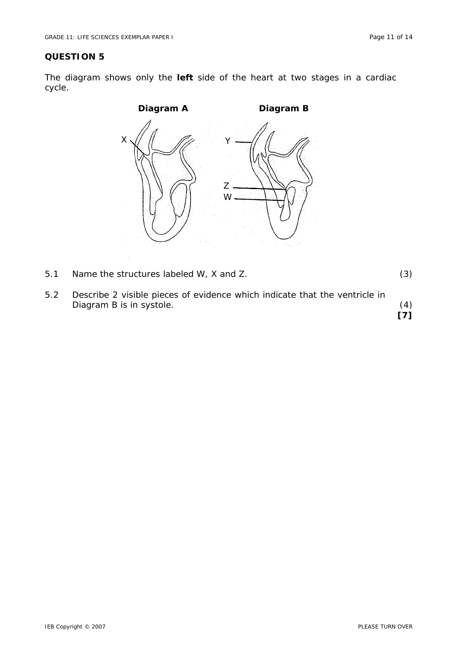# **QUESTION 5**

The diagram shows only the **left** side of the heart at two stages in a cardiac cycle.



| 5.1 | Name the structures labeled W, X and Z. |  |
|-----|-----------------------------------------|--|
|     |                                         |  |

5.2 Describe 2 visible pieces of evidence which indicate that the ventricle in Diagram B is in systole. (4) **[7]**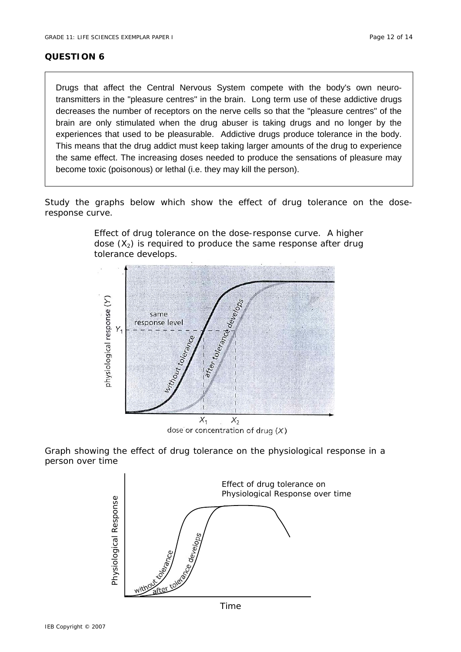### **QUESTION 6**

Drugs that affect the Central Nervous System compete with the body's own neurotransmitters in the "pleasure centres" in the brain. Long term use of these addictive drugs decreases the number of receptors on the nerve cells so that the "pleasure centres" of the brain are only stimulated when the drug abuser is taking drugs and no longer by the experiences that used to be pleasurable. Addictive drugs produce tolerance in the body. This means that the drug addict must keep taking larger amounts of the drug to experience the same effect. The increasing doses needed to produce the sensations of pleasure may become toxic (poisonous) or lethal (i.e. they may kill the person).

Study the graphs below which show the effect of drug tolerance on the doseresponse curve.



Effect of drug tolerance on the dose-response curve. A higher dose  $(X_2)$  is required to produce the same response after drug tolerance develops.

dose or concentration of drug  $(X)$ 

Graph showing the effect of drug tolerance on the physiological response in a person over time



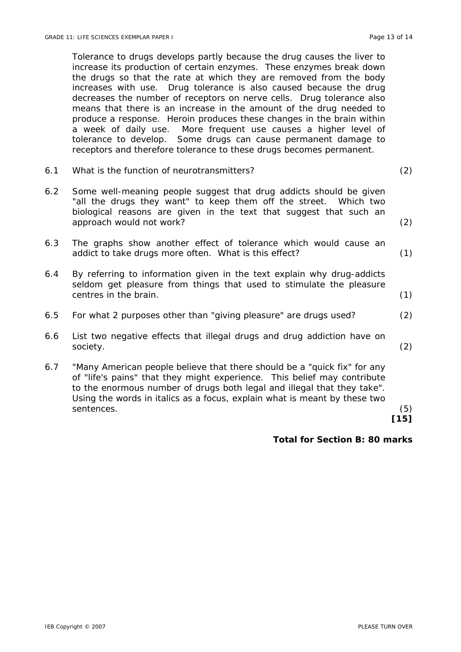Tolerance to drugs develops partly because the drug causes the liver to increase its production of certain enzymes. These enzymes break down the drugs so that the rate at which they are removed from the body increases with use. Drug tolerance is also caused because the drug decreases the number of receptors on nerve cells. Drug tolerance also means that there is an increase in the amount of the drug needed to produce a response. Heroin produces these changes in the brain within a week of daily use. More frequent use causes a higher level of tolerance to develop. Some drugs can cause permanent damage to receptors and therefore tolerance to these drugs becomes permanent.

6.1 What is the function of neurotransmitters? (2)

| 6.2 | Some well-meaning people suggest that drug addicts should be given<br>"all the drugs they want" to keep them off the street. Which two<br>biological reasons are given in the text that suggest that such an<br>approach would not work? | (2) |
|-----|------------------------------------------------------------------------------------------------------------------------------------------------------------------------------------------------------------------------------------------|-----|
| 6.3 | The graphs show another effect of tolerance which would cause an<br>addict to take drugs more often. What is this effect?                                                                                                                | (1) |
| 6.4 | By referring to information given in the text explain why drug-addicts<br>seldom get pleasure from things that used to stimulate the pleasure<br>centres in the brain.                                                                   | (1) |
| 6.5 | For what 2 purposes other than "giving pleasure" are drugs used?                                                                                                                                                                         | (2) |
| 6.6 | List two negative effects that illegal drugs and drug addiction have on<br>society.                                                                                                                                                      | (2) |
| 6.7 | "Many American people believe that there should be a "quick fix" for any<br>of "life's pains" that they might experience. This belief may contribute<br>to the enormous number of drugs both <i>legal and illegal</i> that they take".   |     |

Using the words in *italics* as a focus, explain what is meant by these two

sentences. (5)

 **[15]** 

#### **Total for Section B: 80 marks**